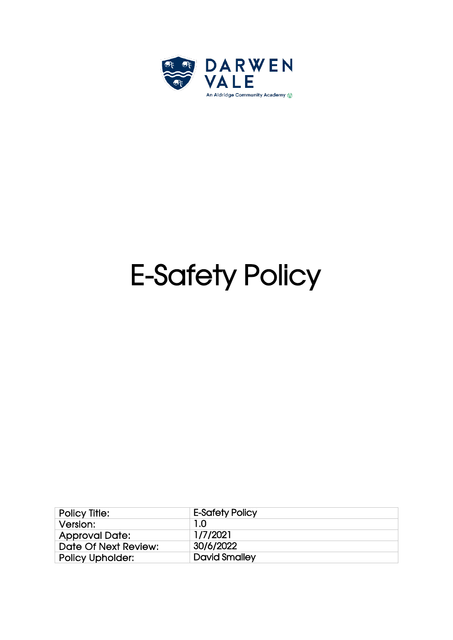

# E-Safety Policy

| <b>Policy Title:</b>    | <b>E-Safety Policy</b> |
|-------------------------|------------------------|
| Version:                | 1.0                    |
| <b>Approval Date:</b>   | 1/7/2021               |
| Date Of Next Review:    | 30/6/2022              |
| <b>Policy Upholder:</b> | <b>David Smalley</b>   |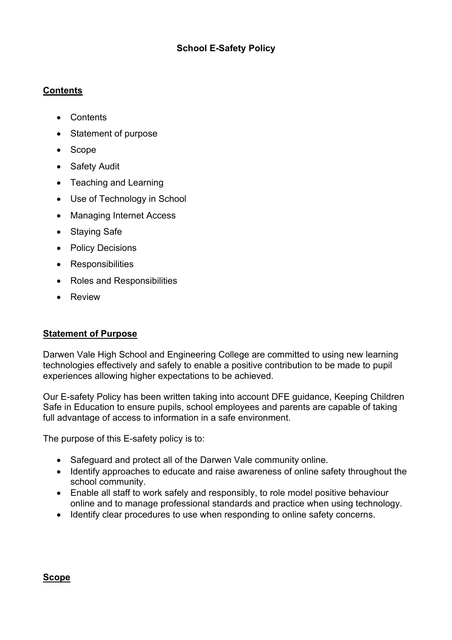# **School E-Safety Policy**

#### **Contents**

- Contents
- Statement of purpose
- Scope
- Safety Audit
- Teaching and Learning
- Use of Technology in School
- Managing Internet Access
- Staying Safe
- Policy Decisions
- Responsibilities
- Roles and Responsibilities
- Review

#### **Statement of Purpose**

Darwen Vale High School and Engineering College are committed to using new learning technologies effectively and safely to enable a positive contribution to be made to pupil experiences allowing higher expectations to be achieved.

Our E-safety Policy has been written taking into account DFE guidance, Keeping Children Safe in Education to ensure pupils, school employees and parents are capable of taking full advantage of access to information in a safe environment.

The purpose of this E-safety policy is to:

- Safeguard and protect all of the Darwen Vale community online.
- Identify approaches to educate and raise awareness of online safety throughout the school community.
- Enable all staff to work safely and responsibly, to role model positive behaviour online and to manage professional standards and practice when using technology.
- Identify clear procedures to use when responding to online safety concerns.

#### **Scope**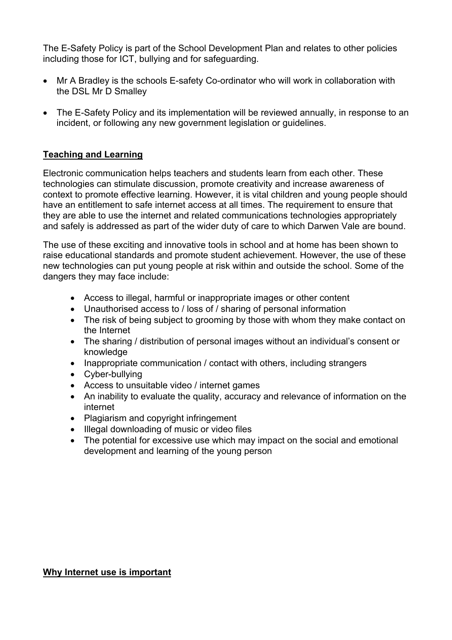The E-Safety Policy is part of the School Development Plan and relates to other policies including those for ICT, bullying and for safeguarding.

- Mr A Bradley is the schools E-safety Co-ordinator who will work in collaboration with the DSL Mr D Smalley
- The E-Safety Policy and its implementation will be reviewed annually, in response to an incident, or following any new government legislation or guidelines.

#### **Teaching and Learning**

Electronic communication helps teachers and students learn from each other. These technologies can stimulate discussion, promote creativity and increase awareness of context to promote effective learning. However, it is vital children and young people should have an entitlement to safe internet access at all times. The requirement to ensure that they are able to use the internet and related communications technologies appropriately and safely is addressed as part of the wider duty of care to which Darwen Vale are bound.

The use of these exciting and innovative tools in school and at home has been shown to raise educational standards and promote student achievement. However, the use of these new technologies can put young people at risk within and outside the school. Some of the dangers they may face include:

- Access to illegal, harmful or inappropriate images or other content
- Unauthorised access to / loss of / sharing of personal information
- The risk of being subject to grooming by those with whom they make contact on the Internet
- The sharing / distribution of personal images without an individual's consent or knowledge
- Inappropriate communication / contact with others, including strangers
- Cyber-bullying
- Access to unsuitable video / internet games
- An inability to evaluate the quality, accuracy and relevance of information on the internet
- Plagiarism and copyright infringement
- Illegal downloading of music or video files
- The potential for excessive use which may impact on the social and emotional development and learning of the young person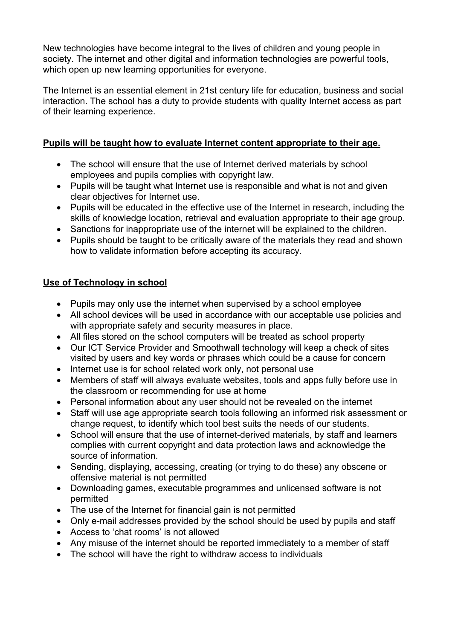New technologies have become integral to the lives of children and young people in society. The internet and other digital and information technologies are powerful tools, which open up new learning opportunities for everyone.

The Internet is an essential element in 21st century life for education, business and social interaction. The school has a duty to provide students with quality Internet access as part of their learning experience.

# **Pupils will be taught how to evaluate Internet content appropriate to their age.**

- The school will ensure that the use of Internet derived materials by school employees and pupils complies with copyright law.
- Pupils will be taught what Internet use is responsible and what is not and given clear objectives for Internet use.
- Pupils will be educated in the effective use of the Internet in research, including the skills of knowledge location, retrieval and evaluation appropriate to their age group.
- Sanctions for inappropriate use of the internet will be explained to the children.
- Pupils should be taught to be critically aware of the materials they read and shown how to validate information before accepting its accuracy.

# **Use of Technology in school**

- Pupils may only use the internet when supervised by a school employee
- All school devices will be used in accordance with our acceptable use policies and with appropriate safety and security measures in place.
- All files stored on the school computers will be treated as school property
- Our ICT Service Provider and Smoothwall technology will keep a check of sites visited by users and key words or phrases which could be a cause for concern
- Internet use is for school related work only, not personal use
- Members of staff will always evaluate websites, tools and apps fully before use in the classroom or recommending for use at home
- Personal information about any user should not be revealed on the internet
- Staff will use age appropriate search tools following an informed risk assessment or change request, to identify which tool best suits the needs of our students.
- School will ensure that the use of internet-derived materials, by staff and learners complies with current copyright and data protection laws and acknowledge the source of information.
- Sending, displaying, accessing, creating (or trying to do these) any obscene or offensive material is not permitted
- Downloading games, executable programmes and unlicensed software is not permitted
- The use of the Internet for financial gain is not permitted
- Only e-mail addresses provided by the school should be used by pupils and staff
- Access to 'chat rooms' is not allowed
- Any misuse of the internet should be reported immediately to a member of staff
- The school will have the right to withdraw access to individuals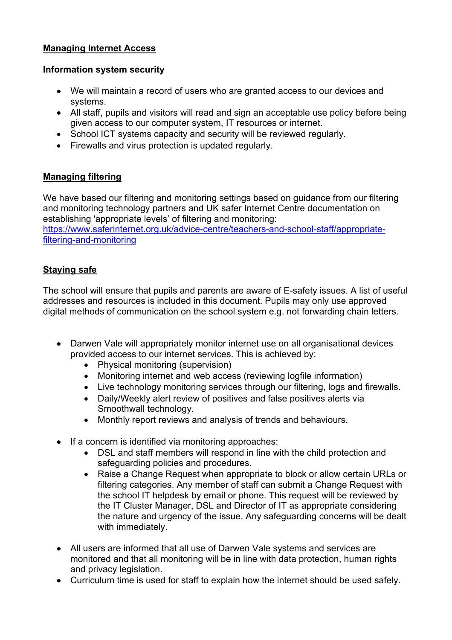# **Managing Internet Access**

#### **Information system security**

- We will maintain a record of users who are granted access to our devices and systems.
- All staff, pupils and visitors will read and sign an acceptable use policy before being given access to our computer system, IT resources or internet.
- School ICT systems capacity and security will be reviewed regularly.
- Firewalls and virus protection is updated regularly.

# **Managing filtering**

We have based our filtering and monitoring settings based on guidance from our filtering and monitoring technology partners and UK safer Internet Centre documentation on establishing 'appropriate levels' of filtering and monitoring: https://www.saferinternet.org.uk/advice-centre/teachers-and-school-staff/appropriatefiltering-and-monitoring

# **Staying safe**

The school will ensure that pupils and parents are aware of E-safety issues. A list of useful addresses and resources is included in this document. Pupils may only use approved digital methods of communication on the school system e.g. not forwarding chain letters.

- Darwen Vale will appropriately monitor internet use on all organisational devices provided access to our internet services. This is achieved by:
	- Physical monitoring (supervision)
	- Monitoring internet and web access (reviewing logfile information)
	- Live technology monitoring services through our filtering, logs and firewalls.
	- Daily/Weekly alert review of positives and false positives alerts via Smoothwall technology.
	- Monthly report reviews and analysis of trends and behaviours.
- If a concern is identified via monitoring approaches:
	- DSL and staff members will respond in line with the child protection and safeguarding policies and procedures.
	- Raise a Change Request when appropriate to block or allow certain URLs or filtering categories. Any member of staff can submit a Change Request with the school IT helpdesk by email or phone. This request will be reviewed by the IT Cluster Manager, DSL and Director of IT as appropriate considering the nature and urgency of the issue. Any safeguarding concerns will be dealt with immediately.
- All users are informed that all use of Darwen Vale systems and services are monitored and that all monitoring will be in line with data protection, human rights and privacy legislation.
- Curriculum time is used for staff to explain how the internet should be used safely.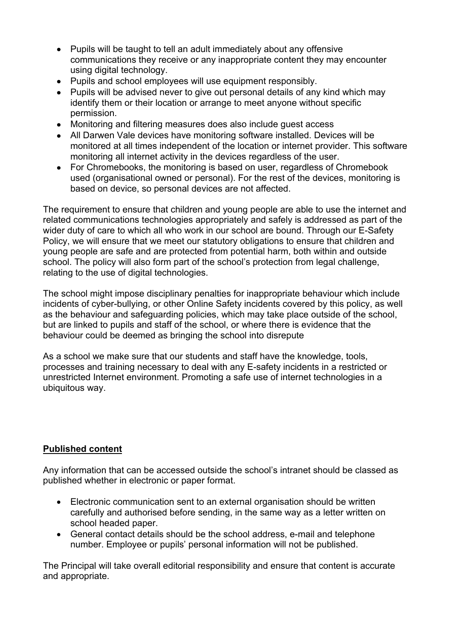- Pupils will be taught to tell an adult immediately about any offensive communications they receive or any inappropriate content they may encounter using digital technology.
- Pupils and school employees will use equipment responsibly.
- Pupils will be advised never to give out personal details of any kind which may identify them or their location or arrange to meet anyone without specific permission.
- Monitoring and filtering measures does also include guest access
- All Darwen Vale devices have monitoring software installed. Devices will be monitored at all times independent of the location or internet provider. This software monitoring all internet activity in the devices regardless of the user.
- For Chromebooks, the monitoring is based on user, regardless of Chromebook used (organisational owned or personal). For the rest of the devices, monitoring is based on device, so personal devices are not affected.

The requirement to ensure that children and young people are able to use the internet and related communications technologies appropriately and safely is addressed as part of the wider duty of care to which all who work in our school are bound. Through our E-Safety Policy, we will ensure that we meet our statutory obligations to ensure that children and young people are safe and are protected from potential harm, both within and outside school. The policy will also form part of the school's protection from legal challenge, relating to the use of digital technologies.

The school might impose disciplinary penalties for inappropriate behaviour which include incidents of cyber-bullying, or other Online Safety incidents covered by this policy, as well as the behaviour and safeguarding policies, which may take place outside of the school, but are linked to pupils and staff of the school, or where there is evidence that the behaviour could be deemed as bringing the school into disrepute

As a school we make sure that our students and staff have the knowledge, tools, processes and training necessary to deal with any E-safety incidents in a restricted or unrestricted Internet environment. Promoting a safe use of internet technologies in a ubiquitous way.

# **Published content**

Any information that can be accessed outside the school's intranet should be classed as published whether in electronic or paper format.

- Electronic communication sent to an external organisation should be written carefully and authorised before sending, in the same way as a letter written on school headed paper.
- General contact details should be the school address, e-mail and telephone number. Employee or pupils' personal information will not be published.

The Principal will take overall editorial responsibility and ensure that content is accurate and appropriate.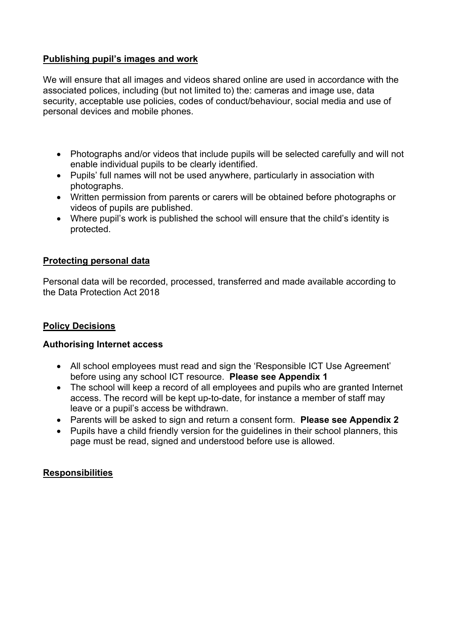# **Publishing pupil's images and work**

We will ensure that all images and videos shared online are used in accordance with the associated polices, including (but not limited to) the: cameras and image use, data security, acceptable use policies, codes of conduct/behaviour, social media and use of personal devices and mobile phones.

- Photographs and/or videos that include pupils will be selected carefully and will not enable individual pupils to be clearly identified.
- Pupils' full names will not be used anywhere, particularly in association with photographs.
- Written permission from parents or carers will be obtained before photographs or videos of pupils are published.
- Where pupil's work is published the school will ensure that the child's identity is protected.

# **Protecting personal data**

Personal data will be recorded, processed, transferred and made available according to the Data Protection Act 2018

# **Policy Decisions**

#### **Authorising Internet access**

- All school employees must read and sign the 'Responsible ICT Use Agreement' before using any school ICT resource. **Please see Appendix 1**
- The school will keep a record of all employees and pupils who are granted Internet access. The record will be kept up-to-date, for instance a member of staff may leave or a pupil's access be withdrawn.
- Parents will be asked to sign and return a consent form. **Please see Appendix 2**
- Pupils have a child friendly version for the guidelines in their school planners, this page must be read, signed and understood before use is allowed.

#### **Responsibilities**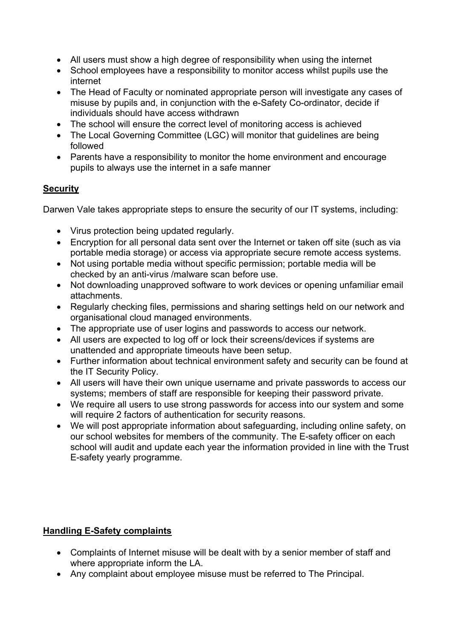- All users must show a high degree of responsibility when using the internet
- School employees have a responsibility to monitor access whilst pupils use the internet
- The Head of Faculty or nominated appropriate person will investigate any cases of misuse by pupils and, in conjunction with the e-Safety Co-ordinator, decide if individuals should have access withdrawn
- The school will ensure the correct level of monitoring access is achieved
- The Local Governing Committee (LGC) will monitor that guidelines are being followed
- Parents have a responsibility to monitor the home environment and encourage pupils to always use the internet in a safe manner

# **Security**

Darwen Vale takes appropriate steps to ensure the security of our IT systems, including:

- Virus protection being updated regularly.
- Encryption for all personal data sent over the Internet or taken off site (such as via portable media storage) or access via appropriate secure remote access systems.
- Not using portable media without specific permission; portable media will be checked by an anti-virus /malware scan before use.
- Not downloading unapproved software to work devices or opening unfamiliar email attachments.
- Regularly checking files, permissions and sharing settings held on our network and organisational cloud managed environments.
- The appropriate use of user logins and passwords to access our network.
- All users are expected to log off or lock their screens/devices if systems are unattended and appropriate timeouts have been setup.
- Further information about technical environment safety and security can be found at the IT Security Policy.
- All users will have their own unique username and private passwords to access our systems; members of staff are responsible for keeping their password private.
- We require all users to use strong passwords for access into our system and some will require 2 factors of authentication for security reasons.
- We will post appropriate information about safeguarding, including online safety, on our school websites for members of the community. The E-safety officer on each school will audit and update each year the information provided in line with the Trust E-safety yearly programme.

# **Handling E-Safety complaints**

- Complaints of Internet misuse will be dealt with by a senior member of staff and where appropriate inform the LA.
- Any complaint about employee misuse must be referred to The Principal.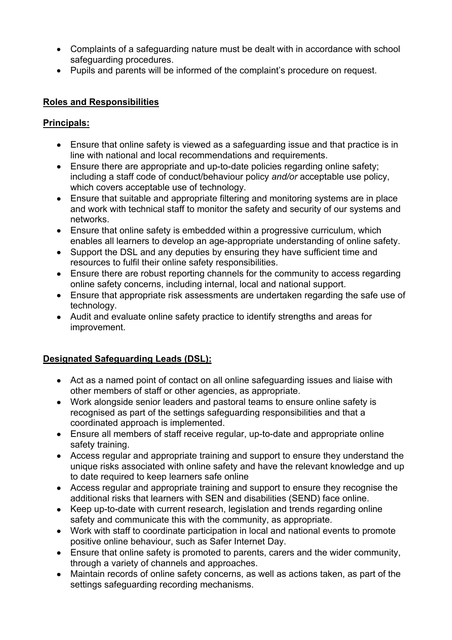- Complaints of a safeguarding nature must be dealt with in accordance with school safeguarding procedures.
- Pupils and parents will be informed of the complaint's procedure on request.

# **Roles and Responsibilities**

# **Principals:**

- Ensure that online safety is viewed as a safeguarding issue and that practice is in line with national and local recommendations and requirements.
- Ensure there are appropriate and up-to-date policies regarding online safety: including a staff code of conduct/behaviour policy *and/or* acceptable use policy, which covers acceptable use of technology.
- Ensure that suitable and appropriate filtering and monitoring systems are in place and work with technical staff to monitor the safety and security of our systems and networks.
- Ensure that online safety is embedded within a progressive curriculum, which enables all learners to develop an age-appropriate understanding of online safety.
- Support the DSL and any deputies by ensuring they have sufficient time and resources to fulfil their online safety responsibilities.
- Ensure there are robust reporting channels for the community to access regarding online safety concerns, including internal, local and national support.
- Ensure that appropriate risk assessments are undertaken regarding the safe use of technology.
- Audit and evaluate online safety practice to identify strengths and areas for improvement.

# **Designated Safeguarding Leads (DSL):**

- Act as a named point of contact on all online safeguarding issues and liaise with other members of staff or other agencies, as appropriate.
- Work alongside senior leaders and pastoral teams to ensure online safety is recognised as part of the settings safeguarding responsibilities and that a coordinated approach is implemented.
- Ensure all members of staff receive regular, up-to-date and appropriate online safety training.
- Access regular and appropriate training and support to ensure they understand the unique risks associated with online safety and have the relevant knowledge and up to date required to keep learners safe online
- Access regular and appropriate training and support to ensure they recognise the additional risks that learners with SEN and disabilities (SEND) face online.
- Keep up-to-date with current research, legislation and trends regarding online safety and communicate this with the community, as appropriate.
- Work with staff to coordinate participation in local and national events to promote positive online behaviour, such as Safer Internet Day.
- Ensure that online safety is promoted to parents, carers and the wider community, through a variety of channels and approaches.
- Maintain records of online safety concerns, as well as actions taken, as part of the settings safeguarding recording mechanisms.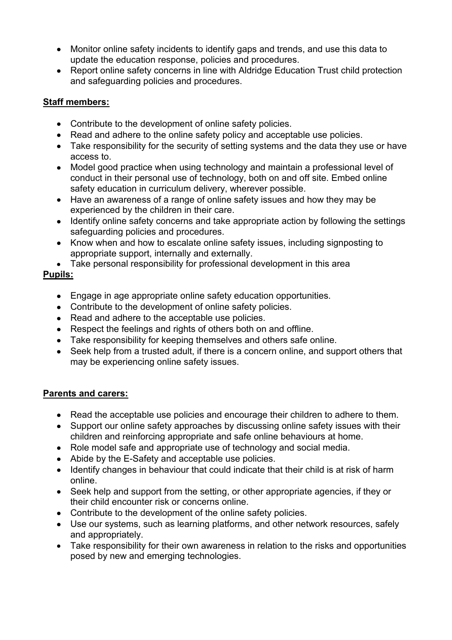- Monitor online safety incidents to identify gaps and trends, and use this data to update the education response, policies and procedures.
- Report online safety concerns in line with Aldridge Education Trust child protection and safeguarding policies and procedures.

# **Staff members:**

- Contribute to the development of online safety policies.
- Read and adhere to the online safety policy and acceptable use policies.
- Take responsibility for the security of setting systems and the data they use or have access to.
- Model good practice when using technology and maintain a professional level of conduct in their personal use of technology, both on and off site. Embed online safety education in curriculum delivery, wherever possible.
- Have an awareness of a range of online safety issues and how they may be experienced by the children in their care.
- Identify online safety concerns and take appropriate action by following the settings safeguarding policies and procedures.
- Know when and how to escalate online safety issues, including signposting to appropriate support, internally and externally.
- Take personal responsibility for professional development in this area

# **Pupils:**

- Engage in age appropriate online safety education opportunities.
- Contribute to the development of online safety policies.
- Read and adhere to the acceptable use policies.
- Respect the feelings and rights of others both on and offline.
- Take responsibility for keeping themselves and others safe online.
- Seek help from a trusted adult, if there is a concern online, and support others that may be experiencing online safety issues.

# **Parents and carers:**

- Read the acceptable use policies and encourage their children to adhere to them.
- Support our online safety approaches by discussing online safety issues with their children and reinforcing appropriate and safe online behaviours at home.
- Role model safe and appropriate use of technology and social media.
- Abide by the E-Safety and acceptable use policies.
- Identify changes in behaviour that could indicate that their child is at risk of harm online.
- Seek help and support from the setting, or other appropriate agencies, if they or their child encounter risk or concerns online.
- Contribute to the development of the online safety policies.
- Use our systems, such as learning platforms, and other network resources, safely and appropriately.
- Take responsibility for their own awareness in relation to the risks and opportunities posed by new and emerging technologies.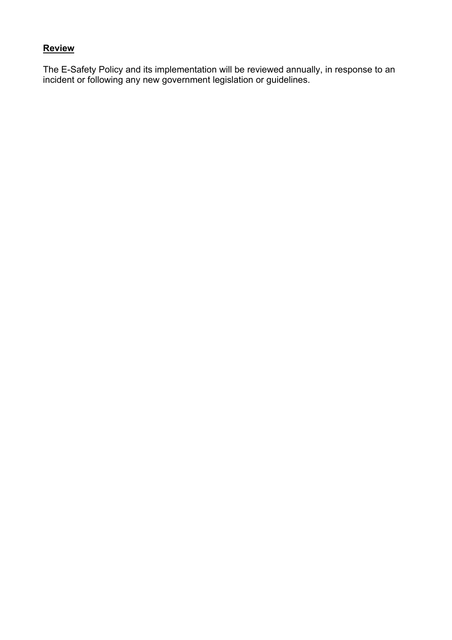# **Review**

The E-Safety Policy and its implementation will be reviewed annually, in response to an incident or following any new government legislation or guidelines.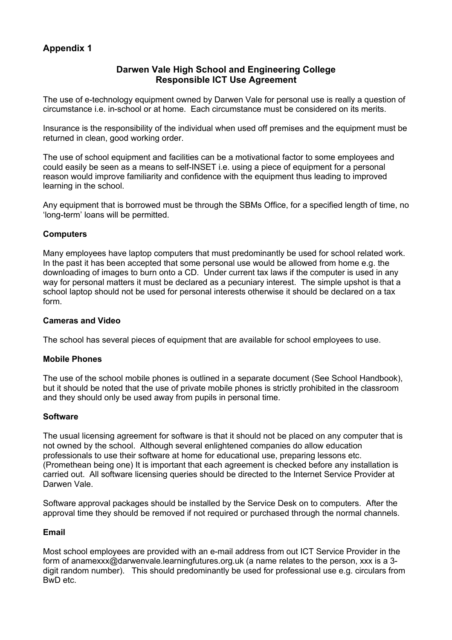#### **Darwen Vale High School and Engineering College Responsible ICT Use Agreement**

The use of e-technology equipment owned by Darwen Vale for personal use is really a question of circumstance i.e. in-school or at home. Each circumstance must be considered on its merits.

Insurance is the responsibility of the individual when used off premises and the equipment must be returned in clean, good working order.

The use of school equipment and facilities can be a motivational factor to some employees and could easily be seen as a means to self-INSET i.e. using a piece of equipment for a personal reason would improve familiarity and confidence with the equipment thus leading to improved learning in the school.

Any equipment that is borrowed must be through the SBMs Office, for a specified length of time, no 'long-term' loans will be permitted.

#### **Computers**

Many employees have laptop computers that must predominantly be used for school related work. In the past it has been accepted that some personal use would be allowed from home e.g. the downloading of images to burn onto a CD. Under current tax laws if the computer is used in any way for personal matters it must be declared as a pecuniary interest. The simple upshot is that a school laptop should not be used for personal interests otherwise it should be declared on a tax form.

#### **Cameras and Video**

The school has several pieces of equipment that are available for school employees to use.

#### **Mobile Phones**

The use of the school mobile phones is outlined in a separate document (See School Handbook), but it should be noted that the use of private mobile phones is strictly prohibited in the classroom and they should only be used away from pupils in personal time.

#### **Software**

The usual licensing agreement for software is that it should not be placed on any computer that is not owned by the school. Although several enlightened companies do allow education professionals to use their software at home for educational use, preparing lessons etc. (Promethean being one) It is important that each agreement is checked before any installation is carried out. All software licensing queries should be directed to the Internet Service Provider at Darwen Vale.

Software approval packages should be installed by the Service Desk on to computers. After the approval time they should be removed if not required or purchased through the normal channels.

#### **Email**

Most school employees are provided with an e-mail address from out ICT Service Provider in the form of anamexxx@darwenvale.learningfutures.org.uk (a name relates to the person, xxx is a 3 digit random number). This should predominantly be used for professional use e.g. circulars from BwD etc.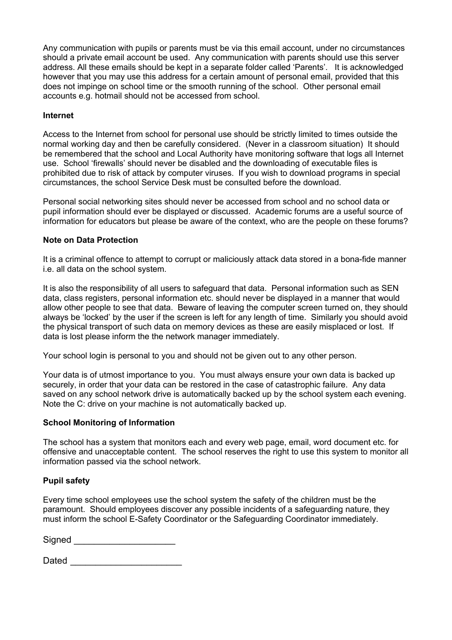Any communication with pupils or parents must be via this email account, under no circumstances should a private email account be used. Any communication with parents should use this server address. All these emails should be kept in a separate folder called 'Parents'. It is acknowledged however that you may use this address for a certain amount of personal email, provided that this does not impinge on school time or the smooth running of the school. Other personal email accounts e.g. hotmail should not be accessed from school.

#### **Internet**

Access to the Internet from school for personal use should be strictly limited to times outside the normal working day and then be carefully considered. (Never in a classroom situation) It should be remembered that the school and Local Authority have monitoring software that logs all Internet use. School 'firewalls' should never be disabled and the downloading of executable files is prohibited due to risk of attack by computer viruses. If you wish to download programs in special circumstances, the school Service Desk must be consulted before the download.

Personal social networking sites should never be accessed from school and no school data or pupil information should ever be displayed or discussed. Academic forums are a useful source of information for educators but please be aware of the context, who are the people on these forums?

#### **Note on Data Protection**

It is a criminal offence to attempt to corrupt or maliciously attack data stored in a bona-fide manner i.e. all data on the school system.

It is also the responsibility of all users to safeguard that data. Personal information such as SEN data, class registers, personal information etc. should never be displayed in a manner that would allow other people to see that data. Beware of leaving the computer screen turned on, they should always be 'locked' by the user if the screen is left for any length of time. Similarly you should avoid the physical transport of such data on memory devices as these are easily misplaced or lost. If data is lost please inform the the network manager immediately.

Your school login is personal to you and should not be given out to any other person.

Your data is of utmost importance to you. You must always ensure your own data is backed up securely, in order that your data can be restored in the case of catastrophic failure. Any data saved on any school network drive is automatically backed up by the school system each evening. Note the C: drive on your machine is not automatically backed up.

#### **School Monitoring of Information**

The school has a system that monitors each and every web page, email, word document etc. for offensive and unacceptable content. The school reserves the right to use this system to monitor all information passed via the school network.

#### **Pupil safety**

Every time school employees use the school system the safety of the children must be the paramount. Should employees discover any possible incidents of a safeguarding nature, they must inform the school E-Safety Coordinator or the Safeguarding Coordinator immediately.

Signed \_\_\_\_\_\_\_\_\_\_\_\_\_\_\_\_\_\_\_\_

Dated **Dates and Security**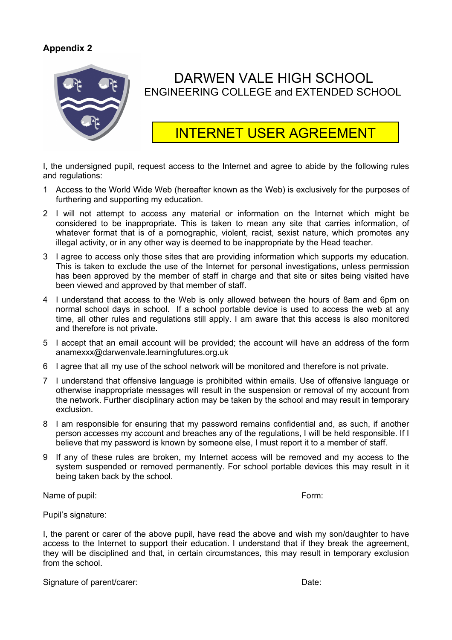

# DARWEN VALE HIGH SCHOOL ENGINEERING COLLEGE and EXTENDED SCHOOL

# INTERNET USER AGREEMENT

I, the undersigned pupil, request access to the Internet and agree to abide by the following rules and regulations:

- 1 Access to the World Wide Web (hereafter known as the Web) is exclusively for the purposes of furthering and supporting my education.
- 2 I will not attempt to access any material or information on the Internet which might be considered to be inappropriate. This is taken to mean any site that carries information, of whatever format that is of a pornographic, violent, racist, sexist nature, which promotes any illegal activity, or in any other way is deemed to be inappropriate by the Head teacher.
- 3 I agree to access only those sites that are providing information which supports my education. This is taken to exclude the use of the Internet for personal investigations, unless permission has been approved by the member of staff in charge and that site or sites being visited have been viewed and approved by that member of staff.
- 4 I understand that access to the Web is only allowed between the hours of 8am and 6pm on normal school days in school. If a school portable device is used to access the web at any time, all other rules and regulations still apply. I am aware that this access is also monitored and therefore is not private.
- 5 I accept that an email account will be provided; the account will have an address of the form anamexxx@darwenvale.learningfutures.org.uk
- 6 I agree that all my use of the school network will be monitored and therefore is not private.
- 7 I understand that offensive language is prohibited within emails. Use of offensive language or otherwise inappropriate messages will result in the suspension or removal of my account from the network. Further disciplinary action may be taken by the school and may result in temporary exclusion.
- 8 I am responsible for ensuring that my password remains confidential and, as such, if another person accesses my account and breaches any of the regulations, I will be held responsible. If I believe that my password is known by someone else, I must report it to a member of staff.
- 9 If any of these rules are broken, my Internet access will be removed and my access to the system suspended or removed permanently. For school portable devices this may result in it being taken back by the school.

Name of pupil: Form: Form: Form: Form: Form: Form: Form: Form: Form: Form: Form: Form: Form: Form: Form: Form: Form: Form: Form: Form: Form: Form: Form: Form: Form: Form: Form: Form: Form: Form: Form: Form: Form: Form: For

Pupil's signature:

I, the parent or carer of the above pupil, have read the above and wish my son/daughter to have access to the Internet to support their education. I understand that if they break the agreement, they will be disciplined and that, in certain circumstances, this may result in temporary exclusion from the school

Signature of parent/carer:  $\blacksquare$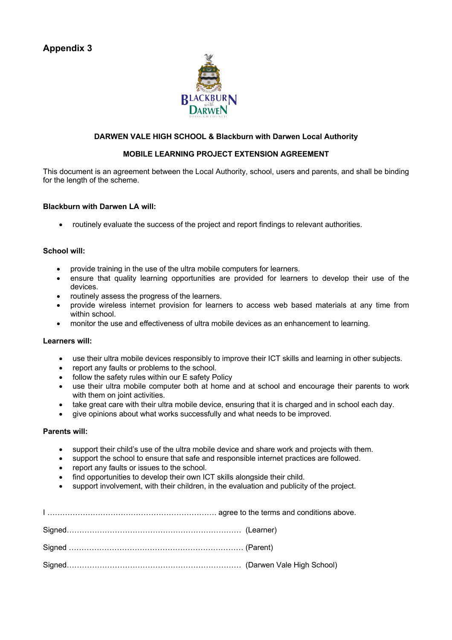

#### **DARWEN VALE HIGH SCHOOL & Blackburn with Darwen Local Authority**

#### **MOBILE LEARNING PROJECT EXTENSION AGREEMENT**

This document is an agreement between the Local Authority, school, users and parents, and shall be binding for the length of the scheme.

#### **Blackburn with Darwen LA will:**

• routinely evaluate the success of the project and report findings to relevant authorities.

#### **School will:**

- provide training in the use of the ultra mobile computers for learners.
- ensure that quality learning opportunities are provided for learners to develop their use of the devices.
- routinely assess the progress of the learners.
- provide wireless internet provision for learners to access web based materials at any time from within school.
- monitor the use and effectiveness of ultra mobile devices as an enhancement to learning.

#### **Learners will:**

- use their ultra mobile devices responsibly to improve their ICT skills and learning in other subjects.
- report any faults or problems to the school.
- follow the safety rules within our E safety Policy
- use their ultra mobile computer both at home and at school and encourage their parents to work with them on joint activities.
- take great care with their ultra mobile device, ensuring that it is charged and in school each day.
- give opinions about what works successfully and what needs to be improved.

#### **Parents will:**

- support their child's use of the ultra mobile device and share work and projects with them.
- support the school to ensure that safe and responsible internet practices are followed.
- report any faults or issues to the school.
- find opportunities to develop their own ICT skills alongside their child.
- support involvement, with their children, in the evaluation and publicity of the project.

I …………………………………………………………. agree to the terms and conditions above. Signed…………………………………………………………… (Learner) Signed …………………………………………………………… (Parent) Signed…………………………………………………………… (Darwen Vale High School)